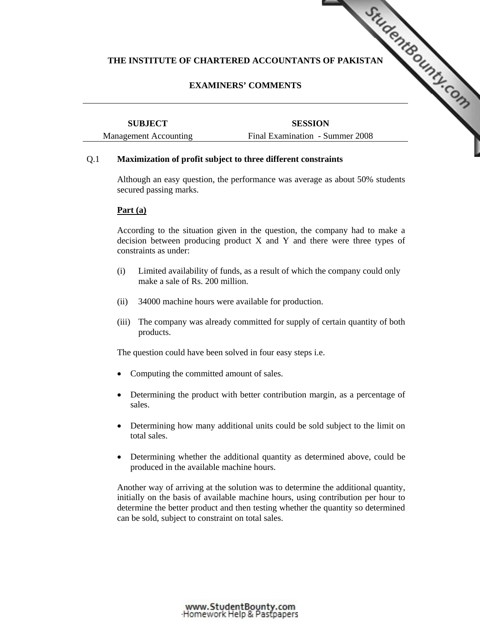## **EXAMINERS' COMMENTS**

|                              | THE INSTITUTE OF CHARTERED ACCOUNTANTS OF PAKISTAN |  |
|------------------------------|----------------------------------------------------|--|
|                              | <b>EXAMINERS' COMMENTS</b>                         |  |
| <b>SUBJECT</b>               | <b>SESSION</b>                                     |  |
| <b>Management Accounting</b> | Final Examination - Summer 2008                    |  |

#### Q.1 **Maximization of profit subject to three different constraints**

 Although an easy question, the performance was average as about 50% students secured passing marks.

#### **Part (a)**

 According to the situation given in the question, the company had to make a decision between producing product X and Y and there were three types of constraints as under:

- (i) Limited availability of funds, as a result of which the company could only make a sale of Rs. 200 million.
- (ii) 34000 machine hours were available for production.
- (iii) The company was already committed for supply of certain quantity of both products.

The question could have been solved in four easy steps i.e.

- Computing the committed amount of sales.
- Determining the product with better contribution margin, as a percentage of sales.
- Determining how many additional units could be sold subject to the limit on total sales.
- Determining whether the additional quantity as determined above, could be produced in the available machine hours.

 Another way of arriving at the solution was to determine the additional quantity, initially on the basis of available machine hours, using contribution per hour to determine the better product and then testing whether the quantity so determined can be sold, subject to constraint on total sales.

www.StudentBounty.com<br>Homework Help & Pastpapers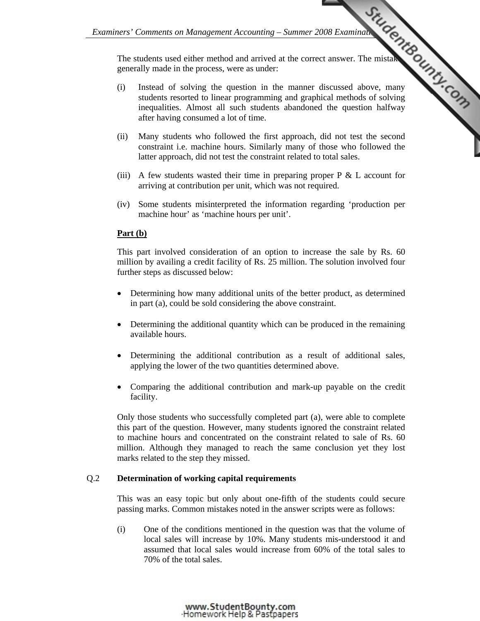The students used either method and arrived at the correct answer. The mistakes generally made in the process, were as under:

- Examiners' Comments on Management Accounting Summer 2008 Examination Control of solving were as under: (i) Instead of solving the question in the manner discussed above, many students resorted to linear programming and graphical methods of solving inequalities. Almost all such students abandoned the question halfway after having consumed a lot of time.
	- (ii) Many students who followed the first approach, did not test the second constraint i.e. machine hours. Similarly many of those who followed the latter approach, did not test the constraint related to total sales.
	- (iii) A few students wasted their time in preparing proper  $P \& L$  account for arriving at contribution per unit, which was not required.
	- (iv) Some students misinterpreted the information regarding 'production per machine hour' as 'machine hours per unit'.

# **Part (b)**

 This part involved consideration of an option to increase the sale by Rs. 60 million by availing a credit facility of Rs. 25 million. The solution involved four further steps as discussed below:

- Determining how many additional units of the better product, as determined in part (a), could be sold considering the above constraint.
- Determining the additional quantity which can be produced in the remaining available hours.
- Determining the additional contribution as a result of additional sales, applying the lower of the two quantities determined above.
- Comparing the additional contribution and mark-up payable on the credit facility.

 Only those students who successfully completed part (a), were able to complete this part of the question. However, many students ignored the constraint related to machine hours and concentrated on the constraint related to sale of Rs. 60 million. Although they managed to reach the same conclusion yet they lost marks related to the step they missed.

## Q.2 **Determination of working capital requirements**

 This was an easy topic but only about one-fifth of the students could secure passing marks. Common mistakes noted in the answer scripts were as follows:

 (i) One of the conditions mentioned in the question was that the volume of local sales will increase by 10%. Many students mis-understood it and assumed that local sales would increase from 60% of the total sales to 70% of the total sales.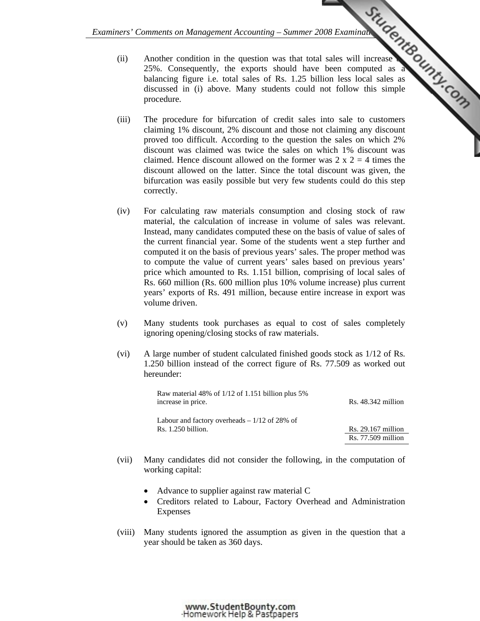- *Examiners' Comments on Management Accounting Summer 2008 Examination (AP)*<br>
The exports should have been computed as a set Rs. 1.25 billion less local sales as<br>
The comment of Rs. 1.25 billion less local sales as set an (ii) Another condition in the question was that total sales will increase 25%. Consequently, the exports should have been computed as a balancing figure i.e. total sales of Rs. 1.25 billion less local sales as discussed in (i) above. Many students could [not follow this simple](http://www.studentbounty.com/)  procedure.
	- (iii) The procedure for bifurcation of credit sales into sale to customers claiming 1% discount, 2% discount and those not claiming any discount proved too difficult. According to the question the sales on which 2% discount was claimed was twice the sales on which 1% discount was claimed. Hence discount allowed on the former was  $2 \times 2 = 4$  times the discount allowed on the latter. Since the total discount was given, the bifurcation was easily possible but very few students could do this step correctly.
	- (iv) For calculating raw materials consumption and closing stock of raw material, the calculation of increase in volume of sales was relevant. Instead, many candidates computed these on the basis of value of sales of the current financial year. Some of the students went a step further and computed it on the basis of previous years' sales. The proper method was to compute the value of current years' sales based on previous years' price which amounted to Rs. 1.151 billion, comprising of local sales of Rs. 660 million (Rs. 600 million plus 10% volume increase) plus current years' exports of Rs. 491 million, because entire increase in export was volume driven.
	- (v) Many students took purchases as equal to cost of sales completely ignoring opening/closing stocks of raw materials.
	- (vi) A large number of student calculated finished goods stock as 1/12 of Rs. 1.250 billion instead of the correct figure of Rs. 77.509 as worked out hereunder:

| increase in price. | $Rs. 48.342$ million                                                                                  |
|--------------------|-------------------------------------------------------------------------------------------------------|
|                    |                                                                                                       |
| Rs. 1.250 billion. | $Rs. 29.167$ million                                                                                  |
|                    | $Rs. 77.509$ million                                                                                  |
|                    | Raw material 48% of $1/12$ of 1.151 billion plus 5%<br>Labour and factory overheads $-1/12$ of 28% of |

- (vii) Many candidates did not consider the following, in the computation of working capital:
	- Advance to supplier against raw material C
	- Creditors related to Labour, Factory Overhead and Administration Expenses
- (viii) Many students ignored the assumption as given in the question that a year should be taken as 360 days.

www.StudentBounty.com Homework Help & Pastpapers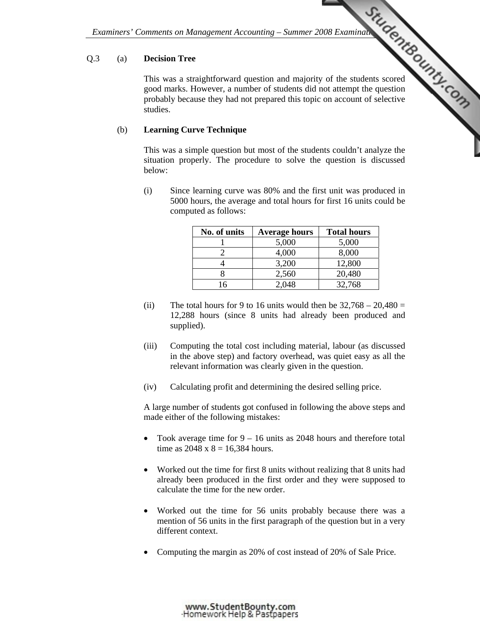## Q.3 (a) **Decision Tree**

Examiners' Comments on Management Accounting – Summer 2008 Examination Control of the students scored and majority of the students scored and majority of the students scored and the question of selective and for the studen This was a straightforward question and majority of the students scored good marks. However, a number of students did [not attempt the question](http://www.studentbounty.com/)  probably because they had not prepared this topic on account of selective studies.

## (b) **Learning Curve Technique**

This was a simple question but most of the students couldn't analyze the situation properly. The procedure to solve the question is discussed below:

 (i) Since learning curve was 80% and the first unit was produced in 5000 hours, the average and total hours for first 16 units could be computed as follows:

| No. of units | <b>Average hours</b> | <b>Total hours</b> |
|--------------|----------------------|--------------------|
|              | 5,000                | 5,000              |
|              | 4,000                | 8,000              |
|              | 3,200                | 12,800             |
|              | 2,560                | 20,480             |
|              | 0.48                 | 32,768             |

- (ii) The total hours for 9 to 16 units would then be  $32,768 20,480 =$ 12,288 hours (since 8 units had already been produced and supplied).
- (iii) Computing the total cost including material, labour (as discussed in the above step) and factory overhead, was quiet easy as all the relevant information was clearly given in the question.
- (iv) Calculating profit and determining the desired selling price.

 A large number of students got confused in following the above steps and made either of the following mistakes:

- Took average time for  $9 16$  units as 2048 hours and therefore total time as  $2048 \times 8 = 16,384$  hours.
- Worked out the time for first 8 units without realizing that 8 units had already been produced in the first order and they were supposed to calculate the time for the new order.
- Worked out the time for 56 units probably because there was a mention of 56 units in the first paragraph of the question but in a very different context.
- Computing the margin as 20% of cost instead of 20% of Sale Price.

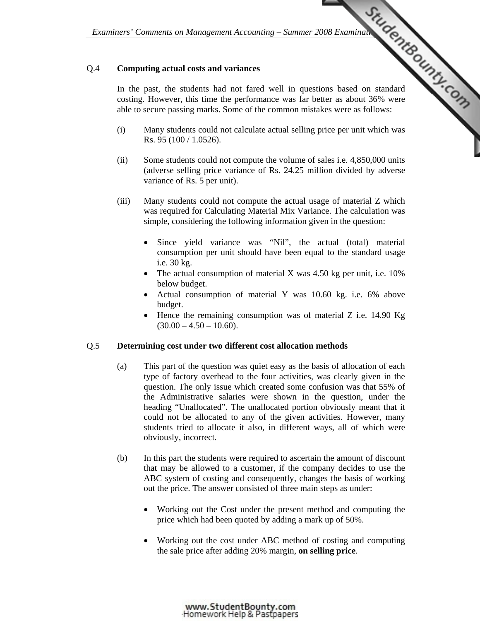## Q.4 **Computing actual costs and variances**

Examiners' Comments on Management Accounting – Summer 2008 Examination Contractors of Summer 2008 Examination Contractors of Contractors of Summer 2008 Examination Contractors of Contractors of Contractors of Summer 2008 E In the past, the students had not fared well in questions based on standard costing. However, this time the performance was far better as about 36% were able to secure passing marks. Some of the common mistakes were as follows:

- (i) Many students could not calculate actual selling p[rice per unit which was](http://www.studentbounty.com/)  Rs. 95 (100 / 1.0526).
- (ii) Some students could not compute the volume of sales i.e. 4,850,000 units (adverse selling price variance of Rs. 24.25 million divided by adverse variance of Rs. 5 per unit).
- (iii) Many students could not compute the actual usage of material Z which was required for Calculating Material Mix Variance. The calculation was simple, considering the following information given in the question:
	- Since yield variance was "Nil", the actual (total) material consumption per unit should have been equal to the standard usage i.e. 30 kg.
	- The actual consumption of material X was  $4.50$  kg per unit, i.e.  $10\%$ below budget.
	- Actual consumption of material Y was 10.60 kg. i.e. 6% above budget.
	- Hence the remaining consumption was of material Z i.e. 14.90 Kg  $(30.00 - 4.50 - 10.60)$ .

#### Q.5 **Determining cost under two different cost allocation methods**

- (a) This part of the question was quiet easy as the basis of allocation of each type of factory overhead to the four activities, was clearly given in the question. The only issue which created some confusion was that 55% of the Administrative salaries were shown in the question, under the heading "Unallocated". The unallocated portion obviously meant that it could not be allocated to any of the given activities. However, many students tried to allocate it also, in different ways, all of which were obviously, incorrect.
- (b) In this part the students were required to ascertain the amount of discount that may be allowed to a customer, if the company decides to use the ABC system of costing and consequently, changes the basis of working out the price. The answer consisted of three main steps as under:
	- Working out the Cost under the present method and computing the price which had been quoted by adding a mark up of 50%.
	- Working out the cost under ABC method of costing and computing the sale price after adding 20% margin, **on selling price**.

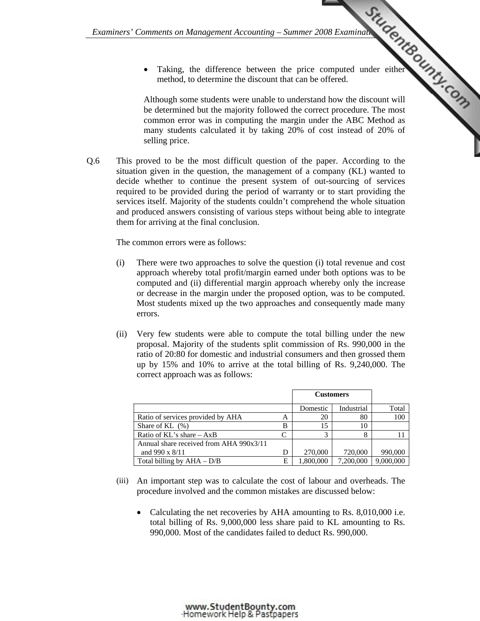• Taking, the difference between the price computed under either method, to determine the discount that can be offered.

*Examiners' Comments on Management Accounting – Summer 2008 Examination Computed Under either*<br>
The between the price computed under either<br>
The discount will an discount will are discount will Although some students were unable to understand how the discount will be determined but the majority followed the corr[ect procedure. The most](http://www.studentbounty.com/)  common error was in computing the margin under the ABC Method as many students calculated it by taking 20% of cost instead of 20% of selling price.

Q.6 This proved to be the most difficult question of the paper. According to the situation given in the question, the management of a company (KL) wanted to decide whether to continue the present system of out-sourcing of services required to be provided during the period of warranty or to start providing the services itself. Majority of the students couldn't comprehend the whole situation and produced answers consisting of various steps without being able to integrate them for arriving at the final conclusion.

The common errors were as follows:

- (i) There were two approaches to solve the question (i) total revenue and cost approach whereby total profit/margin earned under both options was to be computed and (ii) differential margin approach whereby only the increase or decrease in the margin under the proposed option, was to be computed. Most students mixed up the two approaches and consequently made many errors.
- (ii) Very few students were able to compute the total billing under the new proposal. Majority of the students split commission of Rs. 990,000 in the ratio of 20:80 for domestic and industrial consumers and then grossed them up by 15% and 10% to arrive at the total billing of Rs. 9,240,000. The correct approach was as follows:

|                                         |   | <b>Customers</b> |            |           |
|-----------------------------------------|---|------------------|------------|-----------|
|                                         |   | Domestic         | Industrial | Total     |
| Ratio of services provided by AHA       | А | 20               | 80         | 100       |
| Share of KL $(\%)$                      | B |                  | 10         |           |
| Ratio of $KL$ 's share $- AxB$          |   |                  |            |           |
| Annual share received from AHA 990x3/11 |   |                  |            |           |
| and $990 \times 8/11$                   | D | 270,000          | 720,000    | 990,000   |
| Total billing by $AHA - D/B$            | E | 1,800,000        | 7,200,000  | 9,000,000 |

- (iii) An important step was to calculate the cost of labour and overheads. The procedure involved and the common mistakes are discussed below:
	- Calculating the net recoveries by AHA amounting to Rs. 8,010,000 i.e. total billing of Rs. 9,000,000 less share paid to KL amounting to Rs. 990,000. Most of the candidates failed to deduct Rs. 990,000.